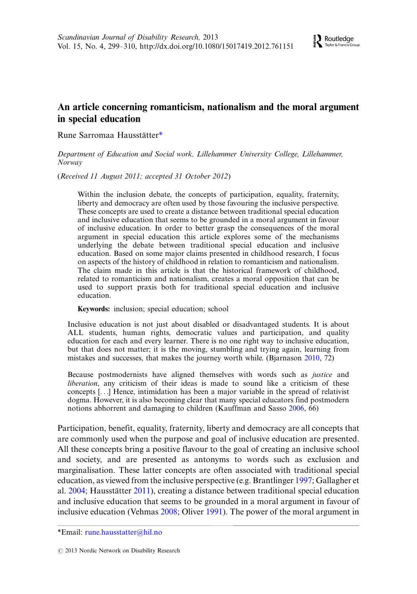# An article concerning romanticism, nationalism and the moral argument in special education

## Rune Sarromaa Hausstätter\*

Department of Education and Social work, Lillehammer University College, Lillehammer, Norway

(Received 11 August 2011; accepted 31 October 2012)

Within the inclusion debate, the concepts of participation, equality, fraternity, liberty and democracy are often used by those favouring the inclusive perspective. These concepts are used to create a distance between traditional special education and inclusive education that seems to be grounded in a moral argument in favour of inclusive education. In order to better grasp the consequences of the moral argument in special education this article explores some of the mechanisms underlying the debate between traditional special education and inclusive education. Based on some major claims presented in childhood research, I focus on aspects of the history of childhood in relation to romanticism and nationalism. The claim made in this article is that the historical framework of childhood, related to romanticism and nationalism, creates a moral opposition that can be used to support praxis both for traditional special education and inclusive education.

Keywords: inclusion; special education; school

Inclusive education is not just about disabled or disadvantaged students. It is about ALL students, human rights, democratic values and participation, and quality education for each and every learner. There is no one right way to inclusive education, but that does not matter; it is the moving, stumbling and trying again, learning from mistakes and successes, that makes the journey worth while. (Bjarnason [2010](#page-9-0), 72)

Because postmodernists have aligned themselves with words such as justice and liberation, any criticism of their ideas is made to sound like a criticism of these concepts [...] Hence, intimidation has been a major variable in the spread of relativist dogma. However, it is also becoming clear that many special educators find postmodern notions abhorrent and damaging to children (Kauffman and Sasso [2006,](#page-10-0) 66)

Participation, benefit, equality, fraternity, liberty and democracy are all concepts that are commonly used when the purpose and goal of inclusive education are presented. All these concepts bring a positive flavour to the goal of creating an inclusive school and society, and are presented as antonyms to words such as exclusion and marginalisation. These latter concepts are often associated with traditional special education, as viewed from the inclusive perspective (e.g. Brantlinger [1997](#page-9-0); Gallagher et al.  $2004$ ; Hausstätter  $2011$ ), creating a distance between traditional special education and inclusive education that seems to be grounded in a moral argument in favour of inclusive education (Vehmas [2008;](#page-11-0) Oliver [1991\)](#page-10-0). The power of the moral argument in

<sup>\*</sup>Email: [rune.hausstatter@hil.no](mailto:rune.hausstatter@hil.no)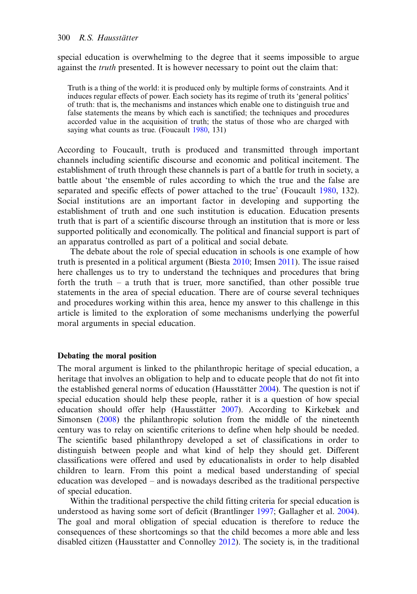special education is overwhelming to the degree that it seems impossible to argue against the truth presented. It is however necessary to point out the claim that:

Truth is a thing of the world: it is produced only by multiple forms of constraints. And it induces regular effects of power. Each society has its regime of truth its 'general politics' of truth: that is, the mechanisms and instances which enable one to distinguish true and false statements the means by which each is sanctified; the techniques and procedures accorded value in the acquisition of truth; the status of those who are charged with saying what counts as true. (Foucault [1980,](#page-9-0) 131)

According to Foucault, truth is produced and transmitted through important channels including scientific discourse and economic and political incitement. The establishment of truth through these channels is part of a battle for truth in society, a battle about 'the ensemble of rules according to which the true and the false are separated and specific effects of power attached to the true' (Foucault [1980,](#page-9-0) 132). Social institutions are an important factor in developing and supporting the establishment of truth and one such institution is education. Education presents truth that is part of a scientific discourse through an institution that is more or less supported politically and economically. The political and financial support is part of an apparatus controlled as part of a political and social debate.

The debate about the role of special education in schools is one example of how truth is presented in a political argument (Biesta [2010](#page-9-0); Imsen [2011](#page-10-0)). The issue raised here challenges us to try to understand the techniques and procedures that bring forth the truth – a truth that is truer, more sanctified, than other possible true statements in the area of special education. There are of course several techniques and procedures working within this area, hence my answer to this challenge in this article is limited to the exploration of some mechanisms underlying the powerful moral arguments in special education.

#### Debating the moral position

The moral argument is linked to the philanthropic heritage of special education, a heritage that involves an obligation to help and to educate people that do not fit into the established general norms of education (Hausstätter  $2004$ ). The question is not if special education should help these people, rather it is a question of how special education should offer help (Hausstätter [2007\)](#page-10-0). According to Kirkebæk and Simonsen [\(2008\)](#page-10-0) the philanthropic solution from the middle of the nineteenth century was to relay on scientific criterions to define when help should be needed. The scientific based philanthropy developed a set of classifications in order to distinguish between people and what kind of help they should get. Different classifications were offered and used by educationalists in order to help disabled children to learn. From this point a medical based understanding of special education was developed - and is nowadays described as the traditional perspective of special education.

Within the traditional perspective the child fitting criteria for special education is understood as having some sort of deficit (Brantlinger [1997;](#page-9-0) Gallagher et al. [2004](#page-9-0)). The goal and moral obligation of special education is therefore to reduce the consequences of these shortcomings so that the child becomes a more able and less disabled citizen (Hausstatter and Connolley [2012\)](#page-10-0). The society is, in the traditional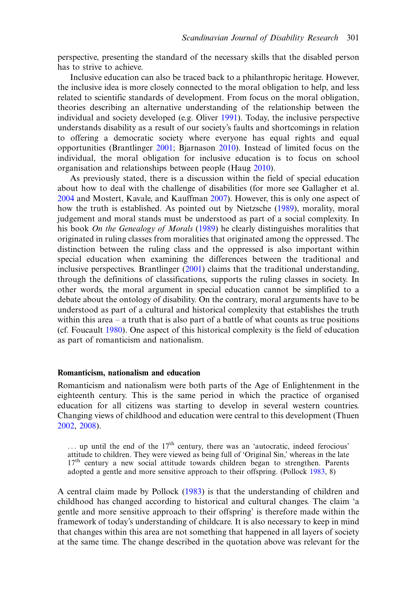perspective, presenting the standard of the necessary skills that the disabled person has to strive to achieve.

Inclusive education can also be traced back to a philanthropic heritage. However, the inclusive idea is more closely connected to the moral obligation to help, and less related to scientific standards of development. From focus on the moral obligation, theories describing an alternative understanding of the relationship between the individual and society developed (e.g. Oliver [1991](#page-10-0)). Today, the inclusive perspective understands disability as a result of our society's faults and shortcomings in relation to offering a democratic society where everyone has equal rights and equal opportunities (Brantlinger [2001;](#page-9-0) Bjarnason [2010\)](#page-9-0). Instead of limited focus on the individual, the moral obligation for inclusive education is to focus on school organisation and relationships between people (Haug [2010](#page-10-0)).

As previously stated, there is a discussion within the field of special education about how to deal with the challenge of disabilities (for more see Gallagher et al. [2004](#page-9-0) and Mostert, Kavale, and Kauffman [2007\)](#page-10-0). However, this is only one aspect of how the truth is established. As pointed out by Nietzsche [\(1989](#page-10-0)), morality, moral judgement and moral stands must be understood as part of a social complexity. In his book *On the Genealogy of Morals* ([1989\)](#page-10-0) he clearly distinguishes moralities that originated in ruling classes from moralities that originated among the oppressed. The distinction between the ruling class and the oppressed is also important within special education when examining the differences between the traditional and inclusive perspectives. Brantlinger [\(2001](#page-9-0)) claims that the traditional understanding, through the definitions of classifications, supports the ruling classes in society. In other words, the moral argument in special education cannot be simplified to a debate about the ontology of disability. On the contrary, moral arguments have to be understood as part of a cultural and historical complexity that establishes the truth within this area – a truth that is also part of a battle of what counts as true positions (cf. Foucault [1980\)](#page-9-0). One aspect of this historical complexity is the field of education as part of romanticism and nationalism.

### Romanticism, nationalism and education

Romanticism and nationalism were both parts of the Age of Enlightenment in the eighteenth century. This is the same period in which the practice of organised education for all citizens was starting to develop in several western countries. Changing views of childhood and education were central to this development (Thuen [2002,](#page-11-0) [2008\)](#page-11-0).

 $\ldots$  up until the end of the  $17<sup>th</sup>$  century, there was an 'autocratic, indeed ferocious' attitude to children. They were viewed as being full of 'Original Sin,' whereas in the late 17<sup>th</sup> century a new social attitude towards children began to strengthen. Parents adopted a gentle and more sensitive approach to their offspring. (Pollock [1983](#page-10-0), 8)

A central claim made by Pollock ([1983\)](#page-10-0) is that the understanding of children and childhood has changed according to historical and cultural changes. The claim 'a gentle and more sensitive approach to their offspring' is therefore made within the framework of today's understanding of childcare. It is also necessary to keep in mind that changes within this area are not something that happened in all layers of society at the same time. The change described in the quotation above was relevant for the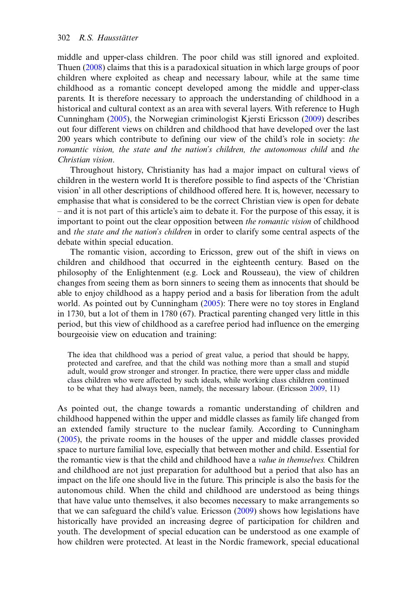middle and upper-class children. The poor child was still ignored and exploited. Thuen [\(2008](#page-11-0)) claims that this is a paradoxical situation in which large groups of poor children where exploited as cheap and necessary labour, while at the same time childhood as a romantic concept developed among the middle and upper-class parents. It is therefore necessary to approach the understanding of childhood in a historical and cultural context as an area with several layers. With reference to Hugh Cunningham [\(2005](#page-9-0)), the Norwegian criminologist Kjersti Ericsson [\(2009](#page-9-0)) describes out four different views on children and childhood that have developed over the last 200 years which contribute to defining our view of the child's role in society: the romantic vision, the state and the nation's children, the autonomous child and the Christian vision.

Throughout history, Christianity has had a major impact on cultural views of children in the western world It is therefore possible to find aspects of the 'Christian vision' in all other descriptions of childhood offered here. It is, however, necessary to emphasise that what is considered to be the correct Christian view is open for debate - and it is not part of this article's aim to debate it. For the purpose of this essay, it is important to point out the clear opposition between the romantic vision of childhood and the state and the nation's children in order to clarify some central aspects of the debate within special education.

The romantic vision, according to Ericsson, grew out of the shift in views on children and childhood that occurred in the eighteenth century. Based on the philosophy of the Enlightenment (e.g. Lock and Rousseau), the view of children changes from seeing them as born sinners to seeing them as innocents that should be able to enjoy childhood as a happy period and a basis for liberation from the adult world. As pointed out by Cunningham ([2005\)](#page-9-0): There were no toy stores in England in 1730, but a lot of them in 1780 (67). Practical parenting changed very little in this period, but this view of childhood as a carefree period had influence on the emerging bourgeoisie view on education and training:

The idea that childhood was a period of great value, a period that should be happy, protected and carefree, and that the child was nothing more than a small and stupid adult, would grow stronger and stronger. In practice, there were upper class and middle class children who were affected by such ideals, while working class children continued to be what they had always been, namely, the necessary labour. (Ericsson [2009,](#page-9-0) 11)

As pointed out, the change towards a romantic understanding of children and childhood happened within the upper and middle classes as family life changed from an extended family structure to the nuclear family. According to Cunningham [\(2005](#page-9-0)), the private rooms in the houses of the upper and middle classes provided space to nurture familial love, especially that between mother and child. Essential for the romantic view is that the child and childhood have a value in themselves. Children and childhood are not just preparation for adulthood but a period that also has an impact on the life one should live in the future. This principle is also the basis for the autonomous child. When the child and childhood are understood as being things that have value unto themselves, it also becomes necessary to make arrangements so that we can safeguard the child's value. Ericsson [\(2009](#page-9-0)) shows how legislations have historically have provided an increasing degree of participation for children and youth. The development of special education can be understood as one example of how children were protected. At least in the Nordic framework, special educational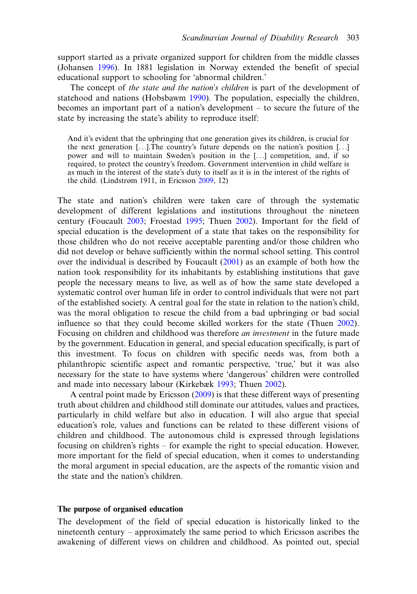support started as a private organized support for children from the middle classes (Johansen [1996\)](#page-10-0). In 1881 legislation in Norway extended the benefit of special educational support to schooling for 'abnormal children.'

The concept of the state and the nation's children is part of the development of statehood and nations (Hobsbawm [1990\)](#page-10-0). The population, especially the children, becomes an important part of a nation's development – to secure the future of the state by increasing the state's ability to reproduce itself:

And it's evident that the upbringing that one generation gives its children, is crucial for the next generation [...].The country's future depends on the nation's position [...] power and will to maintain Sweden's position in the [...] competition, and, if so required, to protect the country's freedom. Government intervention in child welfare is as much in the interest of the state's duty to itself as it is in the interest of the rights of the child. (Lindstrøm 1911, in Ericsson [2009,](#page-9-0) 12)

The state and nation's children were taken care of through the systematic development of different legislations and institutions throughout the nineteen century (Foucault [2003](#page-9-0); Froestad [1995;](#page-9-0) Thuen [2002\)](#page-11-0). Important for the field of special education is the development of a state that takes on the responsibility for those children who do not receive acceptable parenting and/or those children who did not develop or behave sufficiently within the normal school setting. This control over the individual is described by Foucault ([2001\)](#page-9-0) as an example of both how the nation took responsibility for its inhabitants by establishing institutions that gave people the necessary means to live, as well as of how the same state developed a systematic control over human life in order to control individuals that were not part of the established society. A central goal for the state in relation to the nation's child, was the moral obligation to rescue the child from a bad upbringing or bad social influence so that they could become skilled workers for the state (Thuen [2002](#page-11-0)). Focusing on children and childhood was therefore an investment in the future made by the government. Education in general, and special education specifically, is part of this investment. To focus on children with specific needs was, from both a philanthropic scientific aspect and romantic perspective, 'true,' but it was also necessary for the state to have systems where 'dangerous' children were controlled and made into necessary labour (Kirkebæk [1993;](#page-10-0) Thuen [2002](#page-11-0)).

A central point made by Ericsson [\(2009](#page-9-0)) is that these different ways of presenting truth about children and childhood still dominate our attitudes, values and practices, particularly in child welfare but also in education. I will also argue that special education's role, values and functions can be related to these different visions of children and childhood. The autonomous child is expressed through legislations focusing on children's rights – for example the right to special education. However, more important for the field of special education, when it comes to understanding the moral argument in special education, are the aspects of the romantic vision and the state and the nation's children.

#### The purpose of organised education

The development of the field of special education is historically linked to the nineteenth century - approximately the same period to which Ericsson ascribes the awakening of different views on children and childhood. As pointed out, special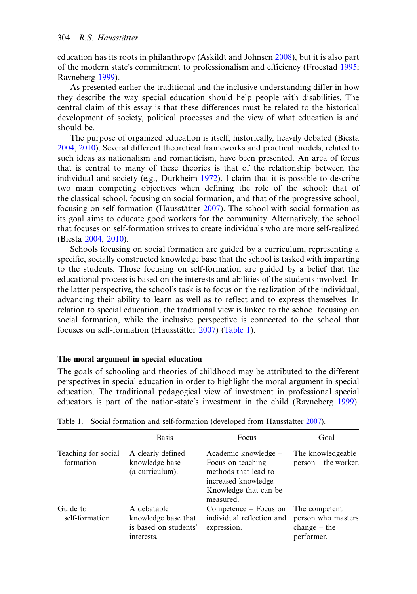education has its roots in philanthropy (Askildt and Johnsen [2008\)](#page-9-0), but it is also part of the modern state's commitment to professionalism and efficiency (Froestad [1995](#page-9-0); Ravneberg [1999](#page-10-0)).

As presented earlier the traditional and the inclusive understanding differ in how they describe the way special education should help people with disabilities. The central claim of this essay is that these differences must be related to the historical development of society, political processes and the view of what education is and should be.

The purpose of organized education is itself, historically, heavily debated (Biesta [2004,](#page-9-0) [2010](#page-9-0)). Several different theoretical frameworks and practical models, related to such ideas as nationalism and romanticism, have been presented. An area of focus that is central to many of these theories is that of the relationship between the individual and society (e.g., Durkheim [1972](#page-9-0)). I claim that it is possible to describe two main competing objectives when defining the role of the school: that of the classical school, focusing on social formation, and that of the progressive school, focusing on self-formation (Hausstätter  $2007$ ). The school with social formation as its goal aims to educate good workers for the community. Alternatively, the school that focuses on self-formation strives to create individuals who are more self-realized (Biesta [2004](#page-9-0), [2010](#page-9-0)).

Schools focusing on social formation are guided by a curriculum, representing a specific, socially constructed knowledge base that the school is tasked with imparting to the students. Those focusing on self-formation are guided by a belief that the educational process is based on the interests and abilities of the students involved. In the latter perspective, the school's task is to focus on the realization of the individual, advancing their ability to learn as well as to reflect and to express themselves. In relation to special education, the traditional view is linked to the school focusing on social formation, while the inclusive perspective is connected to the school that focuses on self-formation (Hausstätter [2007](#page-10-0)) (Table 1).

#### The moral argument in special education

The goals of schooling and theories of childhood may be attributed to the different perspectives in special education in order to highlight the moral argument in special education. The traditional pedagogical view of investment in professional special educators is part of the nation-state's investment in the child (Ravneberg [1999](#page-10-0)).

|                                  | <b>Basis</b>                                                              | Focus                                                                                                                            | Goal                                                                |
|----------------------------------|---------------------------------------------------------------------------|----------------------------------------------------------------------------------------------------------------------------------|---------------------------------------------------------------------|
| Teaching for social<br>formation | A clearly defined<br>knowledge base<br>(a curriculum).                    | Academic knowledge –<br>Focus on teaching<br>methods that lead to<br>increased knowledge.<br>Knowledge that can be.<br>measured. | The knowledgeable<br>person – the worker.                           |
| Guide to<br>self-formation       | A debatable<br>knowledge base that<br>is based on students'<br>interests. | Competence – Focus on<br>individual reflection and<br>expression.                                                                | The competent<br>person who masters<br>$change - the$<br>performer. |

Table 1. Social formation and self-formation (developed from Hausstätter [2007](#page-10-0)).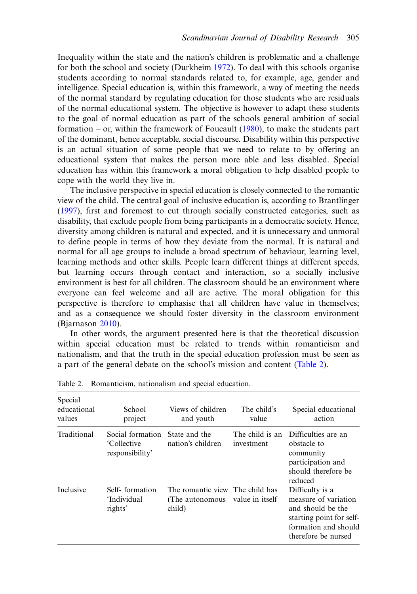<span id="page-6-0"></span>Inequality within the state and the nation's children is problematic and a challenge for both the school and society (Durkheim [1972\)](#page-9-0). To deal with this schools organise students according to normal standards related to, for example, age, gender and intelligence. Special education is, within this framework, a way of meeting the needs of the normal standard by regulating education for those students who are residuals of the normal educational system. The objective is however to adapt these students to the goal of normal education as part of the schools general ambition of social formation – or, within the framework of Foucault ([1980\)](#page-9-0), to make the students part of the dominant, hence acceptable, social discourse. Disability within this perspective is an actual situation of some people that we need to relate to by offering an educational system that makes the person more able and less disabled. Special education has within this framework a moral obligation to help disabled people to cope with the world they live in.

The inclusive perspective in special education is closely connected to the romantic view of the child. The central goal of inclusive education is, according to Brantlinger [\(1997](#page-9-0)), first and foremost to cut through socially constructed categories, such as disability, that exclude people from being participants in a democratic society. Hence, diversity among children is natural and expected, and it is unnecessary and unmoral to define people in terms of how they deviate from the normal. It is natural and normal for all age groups to include a broad spectrum of behaviour, learning level, learning methods and other skills. People learn different things at different speeds, but learning occurs through contact and interaction, so a socially inclusive environment is best for all children. The classroom should be an environment where everyone can feel welcome and all are active. The moral obligation for this perspective is therefore to emphasise that all children have value in themselves; and as a consequence we should foster diversity in the classroom environment (Bjarnason [2010](#page-9-0)).

In other words, the argument presented here is that the theoretical discussion within special education must be related to trends within romanticism and nationalism, and that the truth in the special education profession must be seen as a part of the general debate on the school's mission and content (Table 2).

| Special<br>educational<br>values | School<br>project                                  | Views of children<br>and youth                                                | The child's<br>value          | Special educational<br>action                                                                                                           |
|----------------------------------|----------------------------------------------------|-------------------------------------------------------------------------------|-------------------------------|-----------------------------------------------------------------------------------------------------------------------------------------|
| Traditional                      | Social formation<br>'Collective<br>responsibility' | State and the<br>nation's children                                            | The child is an<br>investment | Difficulties are an<br>obstacle to<br>community<br>participation and<br>should therefore be<br>reduced                                  |
| Inclusive                        | Self-formation<br>'Individual<br>rights'           | The romantic view The child has<br>(The autonomous value in itself)<br>child) |                               | Difficulty is a<br>measure of variation<br>and should be the<br>starting point for self-<br>formation and should<br>therefore be nursed |

Table 2. Romanticism, nationalism and special education.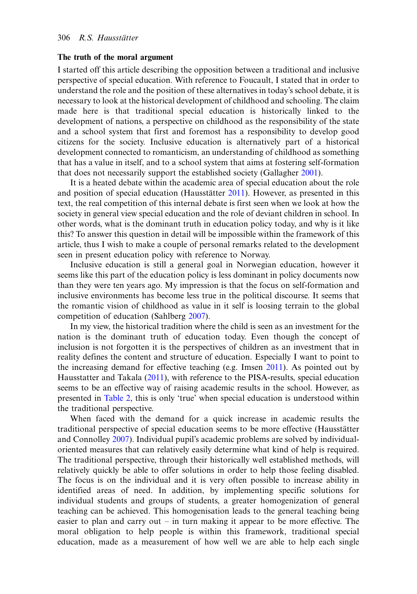#### The truth of the moral argument

I started off this article describing the opposition between a traditional and inclusive perspective of special education. With reference to Foucault, I stated that in order to understand the role and the position of these alternatives in today's school debate, it is necessary to look at the historical development of childhood and schooling. The claim made here is that traditional special education is historically linked to the development of nations, a perspective on childhood as the responsibility of the state and a school system that first and foremost has a responsibility to develop good citizens for the society. Inclusive education is alternatively part of a historical development connected to romanticism, an understanding of childhood as something that has a value in itself, and to a school system that aims at fostering self-formation that does not necessarily support the established society (Gallagher [2001](#page-9-0)).

It is a heated debate within the academic area of special education about the role and position of special education (Hausstätter  $2011$ ). However, as presented in this text, the real competition of this internal debate is first seen when we look at how the society in general view special education and the role of deviant children in school. In other words, what is the dominant truth in education policy today, and why is it like this? To answer this question in detail will be impossible within the framework of this article, thus I wish to make a couple of personal remarks related to the development seen in present education policy with reference to Norway.

Inclusive education is still a general goal in Norwegian education, however it seems like this part of the education policy is less dominant in policy documents now than they were ten years ago. My impression is that the focus on self-formation and inclusive environments has become less true in the political discourse. It seems that the romantic vision of childhood as value in it self is loosing terrain to the global competition of education (Sahlberg [2007\)](#page-11-0).

In my view, the historical tradition where the child is seen as an investment for the nation is the dominant truth of education today. Even though the concept of inclusion is not forgotten it is the perspectives of children as an investment that in reality defines the content and structure of education. Especially I want to point to the increasing demand for effective teaching (e.g. Imsen [2011\)](#page-10-0). As pointed out by Hausstatter and Takala [\(2011](#page-10-0)), with reference to the PISA-results, special education seems to be an effective way of raising academic results in the school. However, as presented in [Table 2](#page-6-0), this is only 'true' when special education is understood within the traditional perspective.

When faced with the demand for a quick increase in academic results the traditional perspective of special education seems to be more effective (Hausstätter and Connolley [2007\)](#page-10-0). Individual pupil's academic problems are solved by individualoriented measures that can relatively easily determine what kind of help is required. The traditional perspective, through their historically well established methods, will relatively quickly be able to offer solutions in order to help those feeling disabled. The focus is on the individual and it is very often possible to increase ability in identified areas of need. In addition, by implementing specific solutions for individual students and groups of students, a greater homogenization of general teaching can be achieved. This homogenisation leads to the general teaching being easier to plan and carry out – in turn making it appear to be more effective. The moral obligation to help people is within this framework, traditional special education, made as a measurement of how well we are able to help each single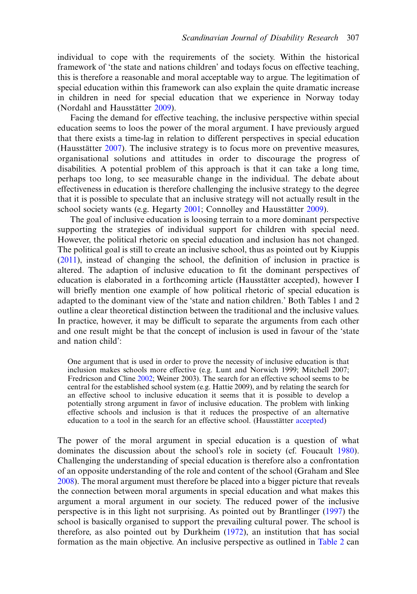individual to cope with the requirements of the society. Within the historical framework of 'the state and nations children' and todays focus on effective teaching, this is therefore a reasonable and moral acceptable way to argue. The legitimation of special education within this framework can also explain the quite dramatic increase in children in need for special education that we experience in Norway today (Nordahl and Hausstätter [2009\)](#page-10-0).

Facing the demand for effective teaching, the inclusive perspective within special education seems to loos the power of the moral argument. I have previously argued that there exists a time-lag in relation to different perspectives in special education (Hausstätter  $2007$ ). The inclusive strategy is to focus more on preventive measures, organisational solutions and attitudes in order to discourage the progress of disabilities. A potential problem of this approach is that it can take a long time, perhaps too long, to see measurable change in the individual. The debate about effectiveness in education is therefore challenging the inclusive strategy to the degree that it is possible to speculate that an inclusive strategy will not actually result in the school society wants (e.g. Hegarty [2001;](#page-10-0) Connolley and Hausstätter [2009\)](#page-9-0).

The goal of inclusive education is loosing terrain to a more dominant perspective supporting the strategies of individual support for children with special need. However, the political rhetoric on special education and inclusion has not changed. The political goal is still to create an inclusive school, thus as pointed out by Kiuppis [\(2011](#page-10-0)), instead of changing the school, the definition of inclusion in practice is altered. The adaption of inclusive education to fit the dominant perspectives of education is elaborated in a forthcoming article (Hausstätter accepted), however I will briefly mention one example of how political rhetoric of special education is adapted to the dominant view of the 'state and nation children.' Both Tables 1 and 2 outline a clear theoretical distinction between the traditional and the inclusive values. In practice, however, it may be difficult to separate the arguments from each other and one result might be that the concept of inclusion is used in favour of the 'state and nation child':

One argument that is used in order to prove the necessity of inclusive education is that inclusion makes schools more effective (e.g. Lunt and Norwich 1999; Mitchell 2007; Fredricson and Cline [2002;](#page-9-0) Weiner 2003). The search for an effective school seems to be central for the established school system (e.g. Hattie 2009), and by relating the search for an effective school to inclusive education it seems that it is possible to develop a potentially strong argument in favor of inclusive education. The problem with linking effective schools and inclusion is that it reduces the prospective of an alternative education to a tool in the search for an effective school. (Hausstätter [accepted](#page-10-0))

The power of the moral argument in special education is a question of what dominates the discussion about the school's role in society (cf. Foucault [1980](#page-9-0)). Challenging the understanding of special education is therefore also a confrontation of an opposite understanding of the role and content of the school (Graham and Slee [2008\)](#page-9-0). The moral argument must therefore be placed into a bigger picture that reveals the connection between moral arguments in special education and what makes this argument a moral argument in our society. The reduced power of the inclusive perspective is in this light not surprising. As pointed out by Brantlinger [\(1997](#page-9-0)) the school is basically organised to support the prevailing cultural power. The school is therefore, as also pointed out by Durkheim [\(1972](#page-9-0)), an institution that has social formation as the main objective. An inclusive perspective as outlined in [Table 2](#page-6-0) can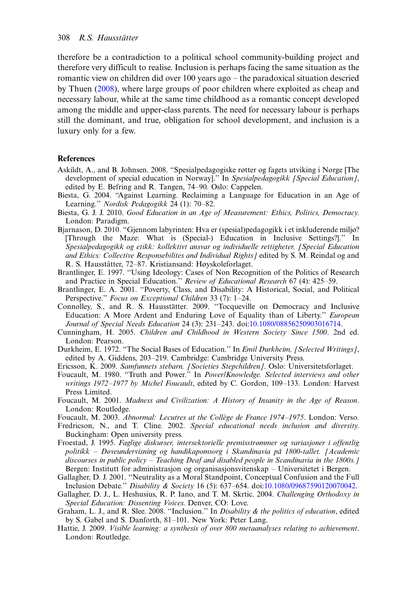<span id="page-9-0"></span>therefore be a contradiction to a political school community-building project and therefore very difficult to realise. Inclusion is perhaps facing the same situation as the romantic view on children did over 100 years ago – the paradoxical situation descried by Thuen [\(2008](#page-11-0)), where large groups of poor children where exploited as cheap and necessary labour, while at the same time childhood as a romantic concept developed among the middle and upper-class parents. The need for necessary labour is perhaps still the dominant, and true, obligation for school development, and inclusion is a luxury only for a few.

#### References

- Askildt, A., and B. Johnsen. 2008. ''Spesialpedagogiske røtter og fagets utviking i Norge [The development of special education in Norway]." In Spesialpedagogikk [Special Education], edited by E. Befring and R. Tangen, 74-90. Oslo: Cappelen.
- Biesta, G. 2004. ''Against Learning. Reclaiming a Language for Education in an Age of Learning." Nordisk Pedagogikk 24 (1): 70-82.
- Biesta, G. J. J. 2010. Good Education in an Age of Measurement: Ethics, Politics, Democracy. London: Paradigm.
- Bjarnason, D. 2010. ''Gjennom labyrinten: Hva er (spesial)pedagogikk i et inkluderende miljø? [Through the Maze: What is (Special-) Education in Inclusive Settings?].'' In Spesialpedagogikk og etikk: kollektivt ansvar og individuelle rettigheter. [Special Education and Ethics: Collective Responsebilites and Individual Rights] edited by S. M. Reindal og and R. S. Hausstätter, 72–87. Kristiansand: Høyskoleforlaget.
- Brantlinger, E. 1997. ''Using Ideology: Cases of Non Recognition of the Politics of Research and Practice in Special Education." Review of Educational Research 67 (4): 425-59.
- Brantlinger, E. A. 2001. ''Poverty, Class, and Disability: A Historical, Social, and Political Perspective." Focus on Exceptional Children 33 (7): 1-24.
- Connolley, S., and R. S. Hausstätter. 2009. "Tocqueville on Democracy and Inclusive Education: A More Ardent and Enduring Love of Equality than of Liberty.'' European Journal of Special Needs Education 24 (3): 231-243. doi[:10.1080/08856250903016714](http://dx.doi.org/10.1080/08856250903016714).
- Cunningham, H. 2005. Children and Childhood in Western Society Since 1500. 2nd ed. London: Pearson.
- Durkheim, E. 1972. "The Social Bases of Education." In Emil Durkheim, [Selected Writings], edited by A. Giddens, 203-219. Cambridge: Cambridge University Press.
- Ericsson, K. 2009. Samfunnets stebarn. [Societies Stepchildren]. Oslo: Universitetsforlaget.
- Foucault, M. 1980. ''Truth and Power.'' In Power/Knowledge. Selected interviews and other writings 1972–1977 by Michel Foucault, edited by C. Gordon, 109–133. London: Harvest Press Limited.
- Foucault, M. 2001. Madness and Civilization: A History of Insanity in the Age of Reason. London: Routledge.
- Foucault, M. 2003. Abnormal: Lecutres at the Collège de France 1974-1975. London: Verso.
- Fredricson, N., and T. Cline. 2002. Special educational needs inclusion and diversity. Buckingham: Open university press.
- Froestad, J. 1995. Faglige diskurser, intersektorielle premisstrømmer og variasjoner i offentlig politikk - Døveundervisning og handikapomsorg i Skandinavia pa˚ 1800-tallet. [Academic discourses in public policy - Teaching Deaf and disabled people in Scandinavia in the 1800s.] Bergen: Institutt for administrasjon og organisasjonsvitenskap – Universitetet i Bergen.
- Gallagher, D. J. 2001. ''Neutrality as a Moral Standpoint, Conceptual Confusion and the Full Inclusion Debate.'' Disability & Society 16 (5): 637-654. doi:[10.1080/09687590120070042.](http://dx.doi.org/10.1080/09687590120070042)
- Gallagher, D. J., L. Heshusius, R. P. Iano, and T. M. Skrtic. 2004. Challenging Orthodoxy in Special Education: Dissenting Voices. Denver, CO: Love.
- Graham, L. J., and R. Slee. 2008. "Inclusion." In Disability & the politics of education, edited by S. Gabel and S. Danforth, 81-101. New York: Peter Lang.
- Hattie, J. 2009. Visible learning: a synthesis of over 800 metaanalyses relating to achievement. London: Routledge.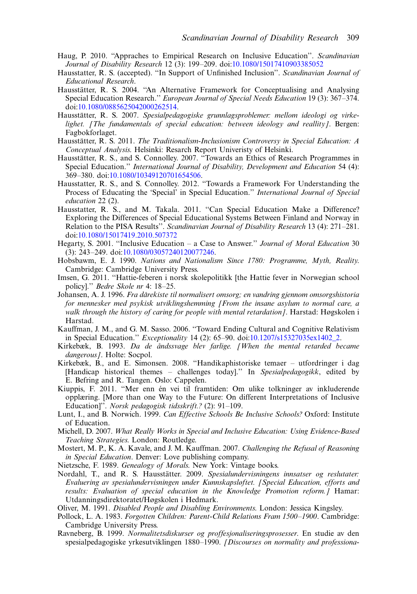- <span id="page-10-0"></span>Haug, P. 2010. "Appraches to Empirical Research on Inclusive Education". Scandinavian Journal of Disability Research 12 (3): 199-209. doi:[10.1080/15017410903385052](http://dx.doi.org/10.1080/15017410903385052)
- Hausstatter, R. S. (accepted). "In Support of Unfinished Inclusion". Scandinavian Journal of Educational Research.
- Hausstätter, R. S. 2004. ''An Alternative Framework for Conceptualising and Analysing Special Education Research." European Journal of Special Needs Education 19 (3): 367-374. doi[:10.1080/0885625042000262514](http://dx.doi.org/10.1080/0885625042000262514).
- Hausstätter, R. S. 2007. Spesialpedagogiske grunnlagsproblemer: mellom ideologi og virkelighet. [The fundamentals of special education: between ideology and reallity]. Bergen: Fagbokforlaget.
- Hausstätter, R. S. 2011. The Traditionalism-Inclusionism Controversy in Special Education: A Conceptual Analysis. Helsinki: Resarch Report Univeristy of Helsinki.
- Hausstätter, R. S., and S. Connolley. 2007. "Towards an Ethics of Research Programmes in Special Education." International Journal of Disability, Development and Education 54 (4): 369-380. doi:[10.1080/10349120701654506.](http://dx.doi.org/10.1080/10349120701654506)
- Hausstatter, R. S., and S. Connolley. 2012. ''Towards a Framework For Understanding the Process of Educating the 'Special' in Special Education.'' International Journal of Special education 22 (2).
- Hausstatter, R. S., and M. Takala. 2011. "Can Special Education Make a Difference? Exploring the Differences of Special Educational Systems Between Finland and Norway in Relation to the PISA Results". Scandinavian Journal of Disability Research 13 (4): 271–281. doi[:10.1080/15017419.2010.507372](http://dx.doi.org/10.1080/15017419.2010.507372)
- Hegarty, S. 2001. "Inclusive Education a Case to Answer." Journal of Moral Education 30 (3): 243-249. doi[:10.1080/03057240120077246](http://dx.doi.org/10.1080/03057240120077246).
- Hobsbawm, E. J. 1990. Nations and Nationalism Since 1780: Programme, Myth, Reality. Cambridge: Cambridge University Press.
- Imsen, G. 2011. ''Hattie-feberen i norsk skolepolitikk [the Hattie fever in Norwegian school policy].'' Bedre Skole nr 4: 18-25.
- Johansen, A. J. 1996. Fra dårekiste til normalisert omsorg; en vandring gjennom omsorgshistoria for mennesker med psykisk utviklingshemming [From the insane asylum to normal care, a walk through the history of caring for people with mental retardation]. Harstad: Høgskolen i Harstad.
- Kauffman, J. M., and G. M. Sasso. 2006. ''Toward Ending Cultural and Cognitive Relativism in Special Education.'' Exceptionality 14 (2): 65-90. doi:[10.1207/s15327035ex1402\\_2](http://dx.doi.org/10.1207/s15327035ex1402_2).
- Kirkebæk, B. 1993. Da de åndssvage blev farlige. [When the mental retarded became dangerous]. Holte: Socpol.
- Kirkebæk, B., and E. Simonsen. 2008. ''Handikaphistoriske temaer utfordringer i dag [Handicap historical themes – challenges today]." In Spesialpedagogikk, edited by E. Befring and R. Tangen. Oslo: Cappelen.
- Kiuppis, F. 2011. "Mer enn én vei til framtiden: Om ulike tolkninger av inkluderende opplæring. [More than one Way to the Future: On different Interpretations of Inclusive Education]". Norsk pedagogisk tidsskrift.? (2): 91-109.
- Lunt, I., and B. Norwich. 1999. Can Effective Schools Be Inclusive Schools? Oxford: Institute of Education.
- Michell, D. 2007. What Really Works in Special and Inclusive Education: Using Evidence-Based Teaching Strategies. London: Routledge.

Mostert, M. P., K. A. Kavale, and J. M. Kauffman. 2007. Challenging the Refusal of Reasoning in Special Education. Denver: Love publishing company.

Nietzsche, F. 1989. Genealogy of Morals. New York: Vintage books.

Nordahl, T., and R. S. Hausstätter. 2009. Spesialundervisningens innsatser og reslutater: Evaluering av spesialundervisningen under Kunnskapsløftet. [Special Education, efforts and results: Evaluation of special education in the Knowledge Promotion reform.] Hamar: Utdanningsdirektoratet/Høgskolen i Hedmark.

Oliver, M. 1991. Disabled People and Disabling Environments. London: Jessica Kingsley.

- Pollock, L. A. 1983. Forgotten Children: Parent-Child Relations Fram 1500-1900. Cambridge: Cambridge University Press.
- Ravneberg, B. 1999. Normalitetsdiskurser og proffesjonaliseringsprosesser. En studie av den spesialpedagogiske yrkesutviklingen 1880–1990. [Discourses on normality and professiona-